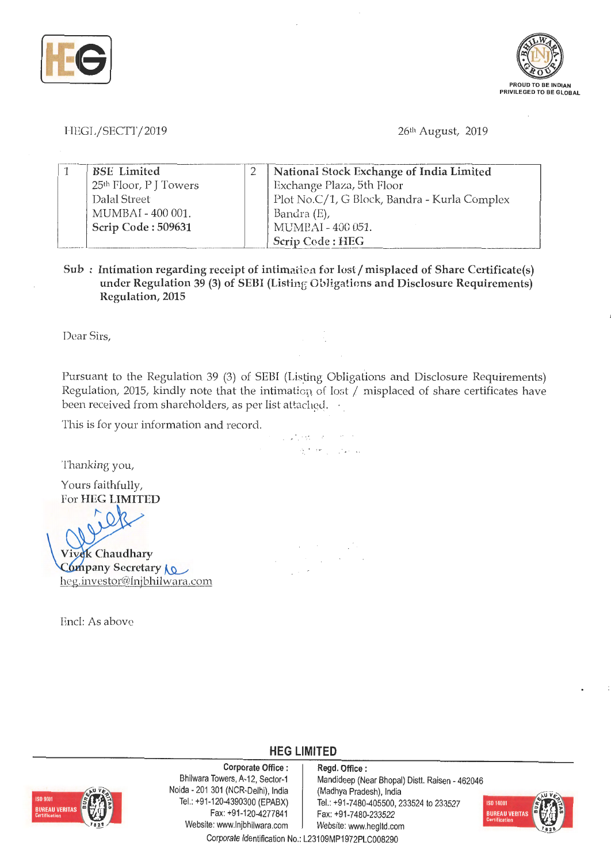



HEGL/SECTT/2019

26th August, 2019

| <b>BSE</b> Limited                 | National Stock Exchange of India Limited     |
|------------------------------------|----------------------------------------------|
| 25 <sup>th</sup> Floor, P J Towers | Exchange Plaza, 5th Floor                    |
| Dalal Street                       | Plot No.C/1, G Block, Bandra - Kurla Complex |
| MUMBAI - 400 001.                  | Bandra (E),                                  |
| Scrip Code: 509631                 | MUMBAI - 400 051.                            |
|                                    | Scrip Code: HEG                              |

**Sub** : Intimation regarding receipt of intimation for lost / misplaced of Share Certificate(s) under Regulation 39 (3) of SEBI (Listing Obligations and Disclosure Requirements) **Regulation, 2015** 

Dear Sirs,

Pursuant to the Regulation 39 (3) of SEBI (Listing Obligations and Disclosure Requirements) Regulation, 2015, kindly note that the intimation of lost  $/$  misplaced of share certificates have been received from shareholders, as per list attached.

• *,I* • • • -, ~.

医大桥 医水泥

 $\sim$  $\sim$  $\mathcal{L}^{\text{max}}$ 

This is for your information and record.

Thanking you,

Yours faithfully, For **HEG LIMITED** 

 $\overline{a}$ **Vivek Chaudhary** Company Secretary **10** heg.investor@lnjbhilwara.com

Encl: As above

## **HEG LIMITED**

**Corporate Office** :



Bhilwara Towers, A-12, Sector-1 Noida - 201 301 (NCR-Delhi), India Tel.: +91-120-4390300 (EPABX) Fax: +91-120-4277841 Website: www.lnjbhilwara.com | Website: www.hegltd.com

**Regd. Office** : Mandideep (Near Bhopal) Distt. Raisen - 462046 (Madhya Pradesh), India Tel.: +91-7480-405500, 233524 to 233527 Fax: +91-7480-233522



Corporate Identification No.: L23109MP1972PLC008290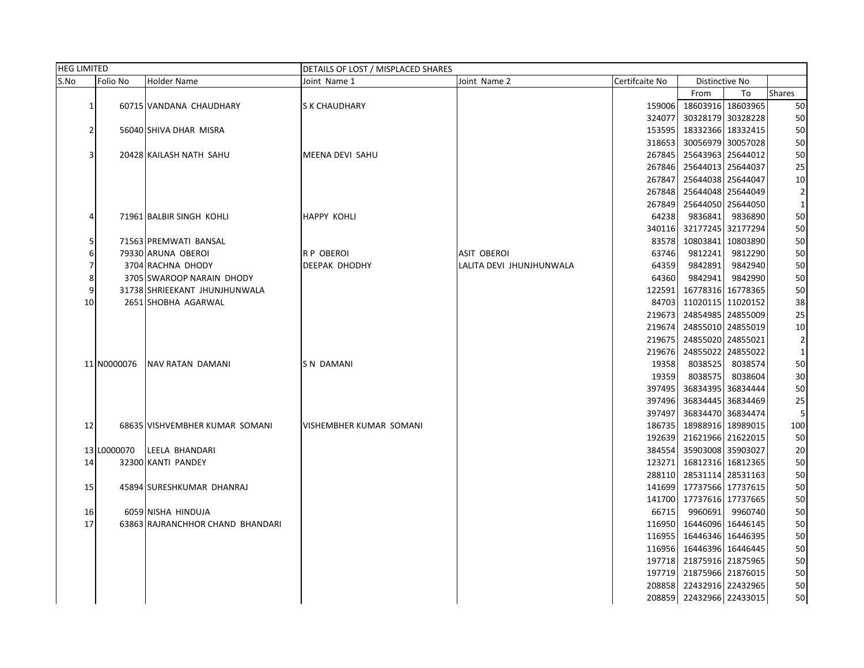|                | <b>HEG LIMITED</b> |                                  | DETAILS OF LOST / MISPLACED SHARES |                          |                |                          |                   |                |  |
|----------------|--------------------|----------------------------------|------------------------------------|--------------------------|----------------|--------------------------|-------------------|----------------|--|
| S.No           | Folio No           | Holder Name                      | Joint Name 1                       | Joint Name 2             | Certifcaite No |                          | Distinctive No    |                |  |
|                |                    |                                  |                                    |                          |                | From                     | To                | Shares         |  |
| 1              |                    | 60715 VANDANA CHAUDHARY          | S K CHAUDHARY                      |                          | 159006         |                          | 18603916 18603965 | 50             |  |
|                |                    |                                  |                                    |                          | 324077         |                          | 30328179 30328228 | 50             |  |
| $\overline{2}$ |                    | 56040 SHIVA DHAR MISRA           |                                    |                          | 153595         | 18332366 18332415        |                   | 50             |  |
|                |                    |                                  |                                    |                          | 318653         |                          | 30056979 30057028 | 50             |  |
| 3              |                    | 20428 KAILASH NATH SAHU          | MEENA DEVI SAHU                    |                          | 267845         | 25643963 25644012        |                   | 50             |  |
|                |                    |                                  |                                    |                          | 267846         |                          | 25644013 25644037 | 25             |  |
|                |                    |                                  |                                    |                          | 267847         |                          | 25644038 25644047 | 10             |  |
|                |                    |                                  |                                    |                          | 267848         | 25644048 25644049        |                   | $\overline{2}$ |  |
|                |                    |                                  |                                    |                          | 267849         | 25644050 25644050        |                   | $\mathbf{1}$   |  |
| 4              |                    | 71961 BALBIR SINGH KOHLI         | <b>HAPPY KOHLI</b>                 |                          | 64238          | 9836841                  | 9836890           | 50             |  |
|                |                    |                                  |                                    |                          | 340116         |                          | 32177245 32177294 | 50             |  |
| 5              |                    | 71563 PREMWATI BANSAL            |                                    |                          | 83578          |                          | 10803841 10803890 | 50             |  |
| 6              |                    | 79330 ARUNA OBEROI               | R P OBEROI                         | <b>ASIT OBEROI</b>       | 63746          | 9812241                  | 9812290           | 50             |  |
| 7              |                    | 3704 RACHNA DHODY                | DEEPAK DHODHY                      | LALITA DEVI JHUNJHUNWALA | 64359          | 9842891                  | 9842940           | 50             |  |
| 8              |                    | 3705 SWAROOP NARAIN DHODY        |                                    |                          | 64360          | 9842941                  | 9842990           | 50             |  |
| 9              |                    | 31738 SHRIEEKANT JHUNJHUNWALA    |                                    |                          | 122591         |                          | 16778316 16778365 | 50             |  |
| 10             |                    | 2651 SHOBHA AGARWAL              |                                    |                          | 84703          | 11020115 11020152        |                   | 38             |  |
|                |                    |                                  |                                    |                          | 219673         | 24854985 24855009        |                   | 25             |  |
|                |                    |                                  |                                    |                          | 219674         |                          | 24855010 24855019 | 10             |  |
|                |                    |                                  |                                    |                          | 219675         |                          | 24855020 24855021 | $\overline{2}$ |  |
|                |                    |                                  |                                    |                          | 219676         | 24855022 24855022        |                   | $\mathbf 1$    |  |
|                | 11 N0000076        | <b>NAV RATAN DAMANI</b>          | <b>SN DAMANI</b>                   |                          | 19358          | 8038525                  | 8038574           | 50             |  |
|                |                    |                                  |                                    |                          | 19359          | 8038575                  | 8038604           | 30             |  |
|                |                    |                                  |                                    |                          | 397495         |                          | 36834395 36834444 | 50             |  |
|                |                    |                                  |                                    |                          | 397496         |                          | 36834445 36834469 | 25             |  |
|                |                    |                                  |                                    |                          | 397497         |                          | 36834470 36834474 | 5              |  |
| 12             |                    | 68635 VISHVEMBHER KUMAR SOMANI   | VISHEMBHER KUMAR SOMANI            |                          | 186735         | 18988916 18989015        |                   | 100            |  |
|                |                    |                                  |                                    |                          |                | 192639 21621966 21622015 |                   | 50             |  |
|                | 13 L0000070        | LEELA BHANDARI                   |                                    |                          | 384554         | 35903008 35903027        |                   | 20             |  |
| 14             |                    | 32300 KANTI PANDEY               |                                    |                          | 123271         | 16812316 16812365        |                   | 50             |  |
|                |                    |                                  |                                    |                          | 288110         | 28531114 28531163        |                   | 50             |  |
| 15             |                    | 45894 SURESHKUMAR DHANRAJ        |                                    |                          |                | 141699 17737566 17737615 |                   | 50             |  |
|                |                    |                                  |                                    |                          |                | 141700 17737616 17737665 |                   | 50             |  |
| 16             |                    | 6059 NISHA HINDUJA               |                                    |                          | 66715          |                          | 9960691 9960740   | 50             |  |
| 17             |                    | 63863 RAJRANCHHOR CHAND BHANDARI |                                    |                          |                | 116950 16446096 16446145 |                   | 50             |  |
|                |                    |                                  |                                    |                          | 116955         | 16446346 16446395        |                   | 50             |  |
|                |                    |                                  |                                    |                          |                | 116956 16446396 16446445 |                   | 50             |  |
|                |                    |                                  |                                    |                          |                | 197718 21875916 21875965 |                   | 50             |  |
|                |                    |                                  |                                    |                          |                | 197719 21875966 21876015 |                   | 50             |  |
|                |                    |                                  |                                    |                          |                | 208858 22432916 22432965 |                   | 50             |  |
|                |                    |                                  |                                    |                          |                | 208859 22432966 22433015 |                   | 50             |  |